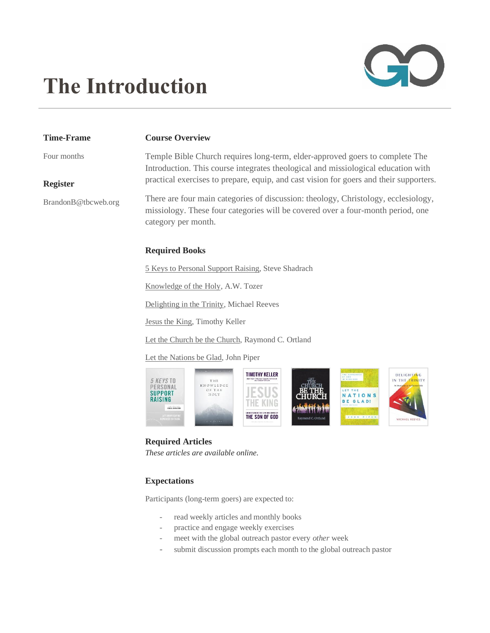# CC

# **The Introduction**

## **Time-Frame**

## **Course Overview**

Four months

**Register**

# Temple Bible Church requires long-term, elder-approved goers to complete The Introduction. This course integrates theological and missiological education with practical exercises to prepare, equip, and cast vision for goers and their supporters.

BrandonB@tbcweb.org

There are four main categories of discussion: theology, Christology, ecclesiology, missiology. These four categories will be covered over a four-month period, one category per month.

# **Required Books**

5 Keys to Personal Support Raising, Steve Shadrach

Knowledge of the Holy, A.W. Tozer

Delighting in the Trinity, Michael Reeves

Jesus the King, Timothy Keller

Let the Church be the Church, Raymond C. Ortland

Let the Nations be Glad, John Piper



### **Required Articles** *These articles are available online*.

# **Expectations**

Participants (long-term goers) are expected to:

- read weekly articles and monthly books
- practice and engage weekly exercises
- meet with the global outreach pastor every *other* week
- submit discussion prompts each month to the global outreach pastor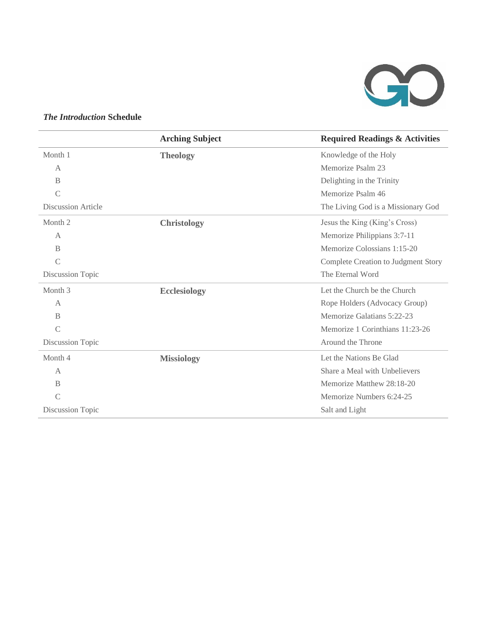

# *The Introduction* **Schedule**

|                           | <b>Arching Subject</b> | <b>Required Readings &amp; Activities</b> |
|---------------------------|------------------------|-------------------------------------------|
| Month 1                   | <b>Theology</b>        | Knowledge of the Holy                     |
| A                         |                        | Memorize Psalm 23                         |
| B                         |                        | Delighting in the Trinity                 |
| $\mathcal{C}$             |                        | Memorize Psalm 46                         |
| <b>Discussion Article</b> |                        | The Living God is a Missionary God        |
| Month <sub>2</sub>        | <b>Christology</b>     | Jesus the King (King's Cross)             |
| A                         |                        | Memorize Philippians 3:7-11               |
| B                         |                        | Memorize Colossians 1:15-20               |
| $\mathcal{C}$             |                        | Complete Creation to Judgment Story       |
| Discussion Topic          |                        | The Eternal Word                          |
| Month <sub>3</sub>        | <b>Ecclesiology</b>    | Let the Church be the Church              |
| $\overline{A}$            |                        | Rope Holders (Advocacy Group)             |
| B                         |                        | Memorize Galatians 5:22-23                |
| $\mathcal{C}$             |                        | Memorize 1 Corinthians 11:23-26           |
| Discussion Topic          |                        | Around the Throne                         |
| Month 4                   | <b>Missiology</b>      | Let the Nations Be Glad                   |
| A                         |                        | Share a Meal with Unbelievers             |
| B                         |                        | Memorize Matthew 28:18-20                 |
| $\mathcal{C}$             |                        | Memorize Numbers 6:24-25                  |
| Discussion Topic          |                        | Salt and Light                            |